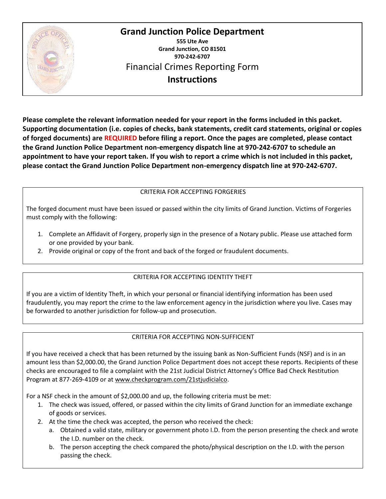

**555 Ute Ave Grand Junction, CO 81501 970-242-6707** Financial Crimes Reporting Form **Instructions**

**Please complete the relevant information needed for your report in the forms included in this packet. Supporting documentation (i.e. copies of checks, bank statements, credit card statements, original or copies of forged documents) are REQUIRED before filing a report. Once the pages are completed, please contact the Grand Junction Police Department non-emergency dispatch line at 970-242-6707 to schedule an appointment to have your report taken. If you wish to report a crime which is not included in this packet, please contact the Grand Junction Police Department non-emergency dispatch line at 970-242-6707.** 

### CRITERIA FOR ACCEPTING FORGERIES

The forged document must have been issued or passed within the city limits of Grand Junction. Victims of Forgeries must comply with the following:

- 1. Complete an Affidavit of Forgery, properly sign in the presence of a Notary public. Please use attached form or one provided by your bank.
- 2. Provide original or copy of the front and back of the forged or fraudulent documents.

## CRITERIA FOR ACCEPTING IDENTITY THEFT

If you are a victim of Identity Theft, in which your personal or financial identifying information has been used fraudulently, you may report the crime to the law enforcement agency in the jurisdiction where you live. Cases may be forwarded to another jurisdiction for follow-up and prosecution.

## CRITERIA FOR ACCEPTING NON-SUFFICIENT

If you have received a check that has been returned by the issuing bank as Non-Sufficient Funds (NSF) and is in an amount less than \$2,000.00, the Grand Junction Police Department does not accept these reports. Recipients of these checks are encouraged to file a complaint with the 21st Judicial District Attorney's Office Bad Check Restitution Program at 877-269-4109 or at [www.checkprogram.com/21stjudicialco.](http://www.checkprogram.com/21stjudicialco)

For a NSF check in the amount of \$2,000.00 and up, the following criteria must be met:

- 1. The check was issued, offered, or passed within the city limits of Grand Junction for an immediate exchange of goods or services.
- 2. At the time the check was accepted, the person who received the check:
	- a. Obtained a valid state, military or government photo I.D. from the person presenting the check and wrote the I.D. number on the check.
	- b. The person accepting the check compared the photo/physical description on the I.D. with the person passing the check.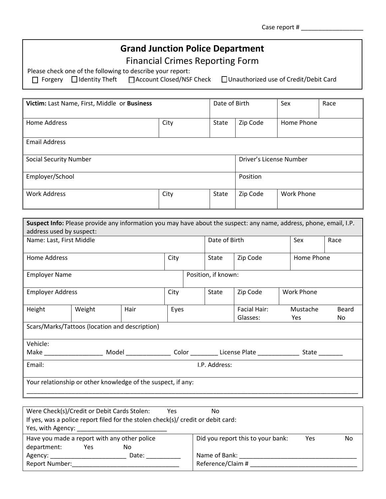| Case report # |  |
|---------------|--|
|               |  |

Financial Crimes Reporting Form

Please check one of the following to describe your report:<br>  $\Box$  Forgery  $\Box$  Identity Theft  $\Box$  Account Closed/NSF

□ Account Closed/NSF Check □ Unauthorized use of Credit/Debit Card

| Victim: Last Name, First, Middle or Business |      | Date of Birth |                         | Sex               | Race |
|----------------------------------------------|------|---------------|-------------------------|-------------------|------|
| <b>Home Address</b>                          | City | <b>State</b>  | Zip Code<br>Home Phone  |                   |      |
| <b>Email Address</b>                         |      |               |                         |                   |      |
| <b>Social Security Number</b>                |      |               | Driver's License Number |                   |      |
| Employer/School                              |      |               | Position                |                   |      |
| <b>Work Address</b>                          | City | State         | Zip Code                | <b>Work Phone</b> |      |

| <b>Suspect Info:</b> Please provide any information you may have about the suspect: any name, address, phone, email, I.P. |                                                |      |      |                     |              |  |                   |       |
|---------------------------------------------------------------------------------------------------------------------------|------------------------------------------------|------|------|---------------------|--------------|--|-------------------|-------|
|                                                                                                                           | address used by suspect:                       |      |      |                     |              |  |                   |       |
| Name: Last, First Middle                                                                                                  |                                                |      |      | Date of Birth       |              |  | Sex               | Race  |
|                                                                                                                           |                                                |      |      |                     |              |  |                   |       |
| Home Address                                                                                                              |                                                |      | City | State               | Zip Code     |  | Home Phone        |       |
|                                                                                                                           |                                                |      |      |                     |              |  |                   |       |
| <b>Employer Name</b>                                                                                                      |                                                |      |      | Position, if known: |              |  |                   |       |
|                                                                                                                           |                                                |      |      |                     |              |  |                   |       |
| <b>Employer Address</b>                                                                                                   |                                                |      | City | State               | Zip Code     |  | <b>Work Phone</b> |       |
|                                                                                                                           |                                                |      |      |                     |              |  |                   |       |
| Height                                                                                                                    | Weight                                         | Hair | Eyes |                     | Facial Hair: |  | Mustache          | Beard |
|                                                                                                                           |                                                |      |      |                     | Glasses:     |  | Yes               | No.   |
|                                                                                                                           | Scars/Marks/Tattoos (location and description) |      |      |                     |              |  |                   |       |
|                                                                                                                           |                                                |      |      |                     |              |  |                   |       |
| Vehicle:                                                                                                                  |                                                |      |      |                     |              |  |                   |       |
|                                                                                                                           |                                                |      |      |                     |              |  |                   |       |
| Email:<br>I.P. Address:                                                                                                   |                                                |      |      |                     |              |  |                   |       |
|                                                                                                                           |                                                |      |      |                     |              |  |                   |       |
| Your relationship or other knowledge of the suspect, if any:                                                              |                                                |      |      |                     |              |  |                   |       |
|                                                                                                                           |                                                |      |      |                     |              |  |                   |       |
|                                                                                                                           |                                                |      |      |                     |              |  |                   |       |

| Were Check(s)/Credit or Debit Cards Stolen:<br>Yes<br>No                         |                                   |                   |    |  |
|----------------------------------------------------------------------------------|-----------------------------------|-------------------|----|--|
| If yes, was a police report filed for the stolen check(s)/ credit or debit card: |                                   |                   |    |  |
| Yes, with Agency:                                                                |                                   |                   |    |  |
| Have you made a report with any other police                                     | Did you report this to your bank: | Yes               | No |  |
| department:<br>No<br>Yes                                                         |                                   |                   |    |  |
| Agency:                                                                          | Date:                             | Name of Bank:     |    |  |
| Report Number:                                                                   |                                   | Reference/Claim # |    |  |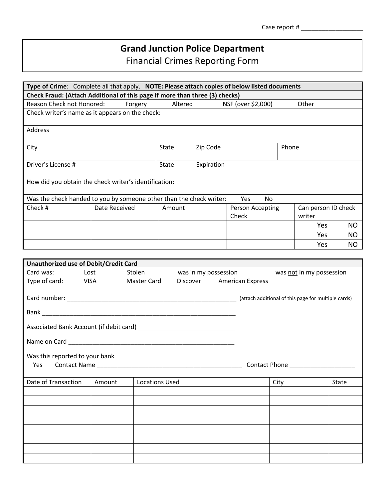Financial Crimes Reporting Form

| Type of Crime: Complete all that apply. NOTE: Please attach copies of below listed documents                                                                                                                                  |               |             |                       |            |                           |       |                               |           |
|-------------------------------------------------------------------------------------------------------------------------------------------------------------------------------------------------------------------------------|---------------|-------------|-----------------------|------------|---------------------------|-------|-------------------------------|-----------|
| Check Fraud: (Attach Additional of this page if more than three (3) checks)                                                                                                                                                   |               |             |                       |            |                           |       |                               |           |
| Reason Check not Honored:                                                                                                                                                                                                     |               | Forgery     | Altered               |            | NSF (over \$2,000)        |       | Other                         |           |
| Check writer's name as it appears on the check:                                                                                                                                                                               |               |             |                       |            |                           |       |                               |           |
| Address                                                                                                                                                                                                                       |               |             |                       |            |                           |       |                               |           |
| City                                                                                                                                                                                                                          |               |             | State                 | Zip Code   |                           | Phone |                               |           |
| Driver's License #                                                                                                                                                                                                            |               |             | State                 | Expiration |                           |       |                               |           |
| How did you obtain the check writer's identification:                                                                                                                                                                         |               |             |                       |            |                           |       |                               |           |
| Was the check handed to you by someone other than the check writer:                                                                                                                                                           |               |             |                       |            | Yes<br>No                 |       |                               |           |
| Check #                                                                                                                                                                                                                       | Date Received |             | Amount                |            | Person Accepting<br>Check |       | Can person ID check<br>writer |           |
|                                                                                                                                                                                                                               |               |             |                       |            |                           |       | Yes                           | <b>NO</b> |
|                                                                                                                                                                                                                               |               |             |                       |            |                           |       | Yes                           | NO.       |
|                                                                                                                                                                                                                               |               |             |                       |            |                           |       | Yes                           | <b>NO</b> |
|                                                                                                                                                                                                                               |               |             |                       |            |                           |       |                               |           |
| <b>Unauthorized use of Debit/Credit Card</b>                                                                                                                                                                                  |               |             |                       |            |                           |       |                               |           |
| Card was:<br>Lost                                                                                                                                                                                                             |               | Stolen      |                       |            | was in my possession      |       | was not in my possession      |           |
| Type of card:<br><b>VISA</b>                                                                                                                                                                                                  |               | Master Card |                       |            | Discover American Express |       |                               |           |
|                                                                                                                                                                                                                               |               |             |                       |            |                           |       |                               |           |
|                                                                                                                                                                                                                               |               |             |                       |            |                           |       |                               |           |
|                                                                                                                                                                                                                               |               |             |                       |            |                           |       |                               |           |
| Name on Card and the contract of the contract of the contract of the contract of the contract of the contract of the contract of the contract of the contract of the contract of the contract of the contract of the contract |               |             |                       |            |                           |       |                               |           |
| Was this reported to your bank<br>Yes<br>Contact Name<br>Contact Phone                                                                                                                                                        |               |             |                       |            |                           |       |                               |           |
| Date of Transaction                                                                                                                                                                                                           | Amount        |             | <b>Locations Used</b> |            |                           | City  |                               | State     |
|                                                                                                                                                                                                                               |               |             |                       |            |                           |       |                               |           |
|                                                                                                                                                                                                                               |               |             |                       |            |                           |       |                               |           |
|                                                                                                                                                                                                                               |               |             |                       |            |                           |       |                               |           |
|                                                                                                                                                                                                                               |               |             |                       |            |                           |       |                               |           |
|                                                                                                                                                                                                                               |               |             |                       |            |                           |       |                               |           |
|                                                                                                                                                                                                                               |               |             |                       |            |                           |       |                               |           |
|                                                                                                                                                                                                                               |               |             |                       |            |                           |       |                               |           |
|                                                                                                                                                                                                                               |               |             |                       |            |                           |       |                               |           |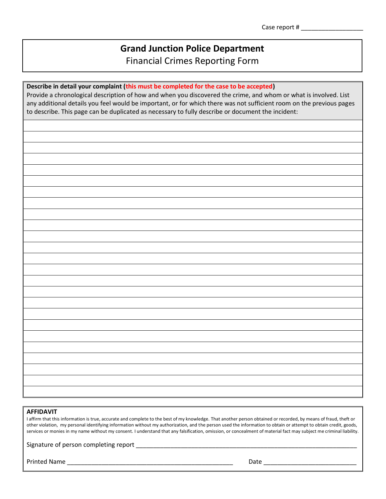Financial Crimes Reporting Form

#### **Describe in detail your complaint (this must be completed for the case to be accepted)**

Provide a chronological description of how and when you discovered the crime, and whom or what is involved. List any additional details you feel would be important, or for which there was not sufficient room on the previous pages to describe. This page can be duplicated as necessary to fully describe or document the incident:

#### **AFFIDAVIT**

I affirm that this information is true, accurate and complete to the best of my knowledge. That another person obtained or recorded, by means of fraud, theft or other violation, my personal identifying information without my authorization, and the person used the information to obtain or attempt to obtain credit, goods, services or monies in my name without my consent. I understand that any falsification, omission, or concealment of material fact may subject me criminal liability.

Signature of person completing report \_\_\_\_\_\_\_\_\_\_\_\_\_\_\_\_\_\_\_\_\_\_\_\_\_\_\_\_\_\_\_\_\_\_\_\_\_\_\_\_\_\_\_\_\_\_\_\_\_\_\_\_\_\_\_\_\_\_\_\_\_\_\_\_

Printed Name \_\_\_\_\_\_\_\_\_\_\_\_\_\_\_\_\_\_\_\_\_\_\_\_\_\_\_\_\_\_\_\_\_\_\_\_\_\_\_\_\_\_\_\_\_\_\_\_ Date \_\_\_\_\_\_\_\_\_\_\_\_\_\_\_\_\_\_\_\_\_\_\_\_\_\_\_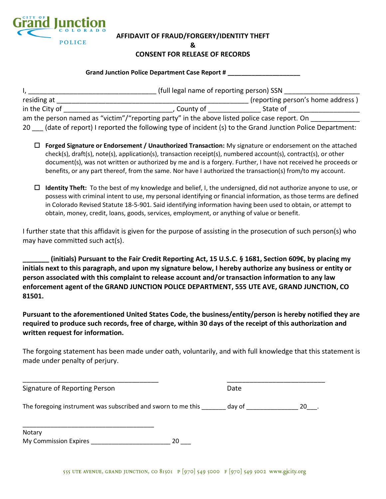

#### **AFFIDAVIT OF FRAUD/FORGERY/IDENTITY THEFT**

**&**

#### **CONSENT FOR RELEASE OF RECORDS**

| <b>Grand Junction Police Department Case Report #</b> |  |
|-------------------------------------------------------|--|
|                                                       |  |

|                |                                                                                              | (full legal name of reporting person) SSN |  |  |
|----------------|----------------------------------------------------------------------------------------------|-------------------------------------------|--|--|
| residing at    |                                                                                              | (reporting person's home address)         |  |  |
| in the City of | County of                                                                                    | State of                                  |  |  |
|                | am the person named as "victim"/"reporting party" in the above listed police case report. On |                                           |  |  |
|                |                                                                                              |                                           |  |  |

20 (date of report) I reported the following type of incident (s) to the Grand Junction Police Department:

- **Forged Signature or Endorsement / Unauthorized Transaction:** My signature or endorsement on the attached check(s), draft(s), note(s), application(s), transaction receipt(s), numbered account(s), contract(s), or other document(s), was not written or authorized by me and is a forgery. Further, I have not received he proceeds or benefits, or any part thereof, from the same. Nor have I authorized the transaction(s) from/to my account.
- **Identity Theft:** To the best of my knowledge and belief, I, the undersigned, did not authorize anyone to use, or possess with criminal intent to use, my personal identifying or financial information, as those terms are defined in Colorado Revised Statute 18-5-901. Said identifying information having been used to obtain, or attempt to obtain, money, credit, loans, goods, services, employment, or anything of value or benefit.

I further state that this affidavit is given for the purpose of assisting in the prosecution of such person(s) who may have committed such act(s).

**\_\_\_\_\_\_\_ (initials) Pursuant to the Fair Credit Reporting Act, 15 U.S.C. § 1681, Section 609€, by placing my initials next to this paragraph, and upon my signature below, I hereby authorize any business or entity or person associated with this complaint to release account and/or transaction information to any law enforcement agent of the GRAND JUNCTION POLICE DEPARTMENT, 555 UTE AVE, GRAND JUNCTION, CO 81501.**

**Pursuant to the aforementioned United States Code, the business/entity/person is hereby notified they are required to produce such records, free of charge, within 30 days of the receipt of this authorization and written request for information.** 

The forgoing statement has been made under oath, voluntarily, and with full knowledge that this statement is made under penalty of perjury.

| Signature of Reporting Person                                | Date   |    |
|--------------------------------------------------------------|--------|----|
| The foregoing instrument was subscribed and sworn to me this | day of | 20 |
| Notary                                                       |        |    |

My Commission Expires \_\_\_\_\_\_\_\_\_\_\_\_\_\_\_\_\_\_\_\_\_\_\_ 20 \_\_\_